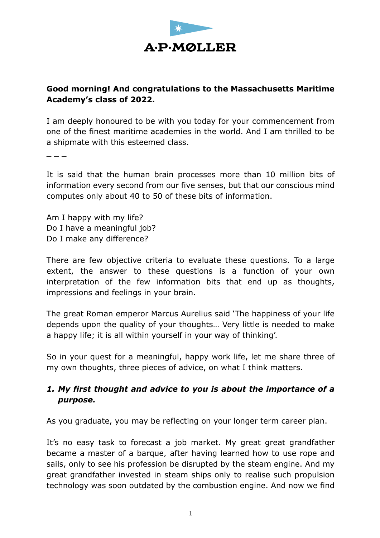

## **Good morning! And congratulations to the Massachusetts Maritime Academy's class of 2022.**

I am deeply honoured to be with you today for your commencement from one of the finest maritime academies in the world. And I am thrilled to be a shipmate with this esteemed class.

 $\overline{a}$   $\overline{a}$   $\overline{a}$   $\overline{a}$   $\overline{a}$   $\overline{a}$   $\overline{a}$   $\overline{a}$   $\overline{a}$   $\overline{a}$   $\overline{a}$   $\overline{a}$   $\overline{a}$   $\overline{a}$   $\overline{a}$   $\overline{a}$   $\overline{a}$   $\overline{a}$   $\overline{a}$   $\overline{a}$   $\overline{a}$   $\overline{a}$   $\overline{a}$   $\overline{a}$   $\overline{$ 

It is said that the human brain processes more than 10 million bits of information every second from our five senses, but that our conscious mind computes only about 40 to 50 of these bits of information.

Am I happy with my life? Do I have a meaningful job? Do I make any difference?

There are few objective criteria to evaluate these questions. To a large extent, the answer to these questions is a function of your own interpretation of the few information bits that end up as thoughts, impressions and feelings in your brain.

The great Roman emperor Marcus Aurelius said 'The happiness of your life depends upon the quality of your thoughts… Very little is needed to make a happy life; it is all within yourself in your way of thinking'.

So in your quest for a meaningful, happy work life, let me share three of my own thoughts, three pieces of advice, on what I think matters.

## *1. My first thought and advice to you is about the importance of a purpose.*

As you graduate, you may be reflecting on your longer term career plan.

It's no easy task to forecast a job market. My great great grandfather became a master of a barque, after having learned how to use rope and sails, only to see his profession be disrupted by the steam engine. And my great grandfather invested in steam ships only to realise such propulsion technology was soon outdated by the combustion engine. And now we find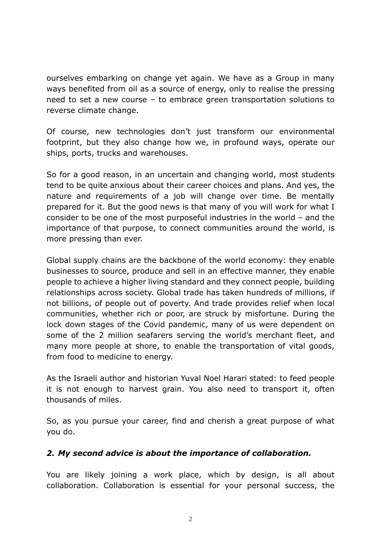ourselves embarking on change yet again. We have as a Group in many ways benefited from oil as a source of energy, only to realise the pressing need to set a new course – to embrace green transportation solutions to reverse climate change.

Of course, new technologies don't just transform our environmental footprint, but they also change how we, in profound ways, operate our ships, ports, trucks and warehouses.

So for a good reason, in an uncertain and changing world, most students tend to be quite anxious about their career choices and plans. And yes, the nature and requirements of a job will change over time. Be mentally prepared for it. But the good news is that many of you will work for what I consider to be one of the most purposeful industries in the world – and the importance of that purpose, to connect communities around the world, is more pressing than ever.

Global supply chains are the backbone of the world economy: they enable businesses to source, produce and sell in an effective manner, they enable people to achieve a higher living standard and they connect people, building relationships across society. Global trade has taken hundreds of millions, if not billions, of people out of poverty. And trade provides relief when local communities, whether rich or poor, are struck by misfortune. During the lock down stages of the Covid pandemic, many of us were dependent on some of the 2 million seafarers serving the world's merchant fleet, and many more people at shore, to enable the transportation of vital goods, from food to medicine to energy.

As the Israeli author and historian Yuval Noel Harari stated: to feed people it is not enough to harvest grain. You also need to transport it, often thousands of miles.

So, as you pursue your career, find and cherish a great purpose of what you do.

## *2. My second advice is about the importance of collaboration.*

You are likely joining a work place, which by design, is all about collaboration. Collaboration is essential for your personal success, the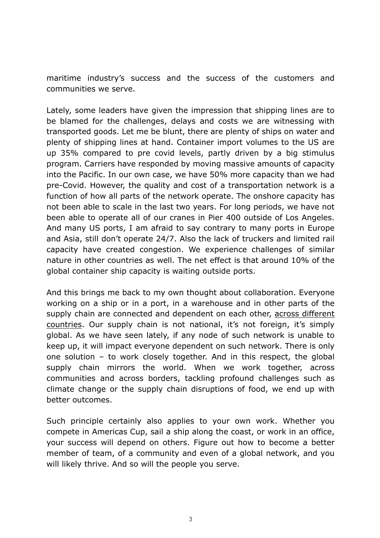maritime industry's success and the success of the customers and communities we serve.

Lately, some leaders have given the impression that shipping lines are to be blamed for the challenges, delays and costs we are witnessing with transported goods. Let me be blunt, there are plenty of ships on water and plenty of shipping lines at hand. Container import volumes to the US are up 35% compared to pre covid levels, partly driven by a big stimulus program. Carriers have responded by moving massive amounts of capacity into the Pacific. In our own case, we have 50% more capacity than we had pre-Covid. However, the quality and cost of a transportation network is a function of how all parts of the network operate. The onshore capacity has not been able to scale in the last two years. For long periods, we have not been able to operate all of our cranes in Pier 400 outside of Los Angeles. And many US ports, I am afraid to say contrary to many ports in Europe and Asia, still don't operate 24/7. Also the lack of truckers and limited rail capacity have created congestion. We experience challenges of similar nature in other countries as well. The net effect is that around 10% of the global container ship capacity is waiting outside ports.

And this brings me back to my own thought about collaboration. Everyone working on a ship or in a port, in a warehouse and in other parts of the supply chain are connected and dependent on each other, across different countries. Our supply chain is not national, it's not foreign, it's simply global. As we have seen lately, if any node of such network is unable to keep up, it will impact everyone dependent on such network. There is only one solution – to work closely together. And in this respect, the global supply chain mirrors the world. When we work together, across communities and across borders, tackling profound challenges such as climate change or the supply chain disruptions of food, we end up with better outcomes.

Such principle certainly also applies to your own work. Whether you compete in Americas Cup, sail a ship along the coast, or work in an office, your success will depend on others. Figure out how to become a better member of team, of a community and even of a global network, and you will likely thrive. And so will the people you serve.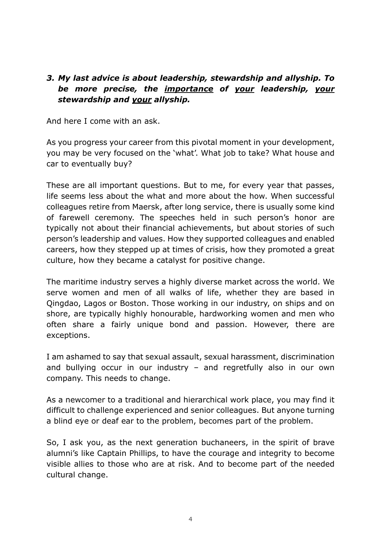## *3. My last advice is about leadership, stewardship and allyship. To be more precise, the importance of your leadership, your stewardship and your allyship.*

And here I come with an ask.

As you progress your career from this pivotal moment in your development, you may be very focused on the 'what'. What job to take? What house and car to eventually buy?

These are all important questions. But to me, for every year that passes, life seems less about the what and more about the how. When successful colleagues retire from Maersk, after long service, there is usually some kind of farewell ceremony. The speeches held in such person's honor are typically not about their financial achievements, but about stories of such person's leadership and values. How they supported colleagues and enabled careers, how they stepped up at times of crisis, how they promoted a great culture, how they became a catalyst for positive change.

The maritime industry serves a highly diverse market across the world. We serve women and men of all walks of life, whether they are based in Qingdao, Lagos or Boston. Those working in our industry, on ships and on shore, are typically highly honourable, hardworking women and men who often share a fairly unique bond and passion. However, there are exceptions.

I am ashamed to say that sexual assault, sexual harassment, discrimination and bullying occur in our industry – and regretfully also in our own company. This needs to change.

As a newcomer to a traditional and hierarchical work place, you may find it difficult to challenge experienced and senior colleagues. But anyone turning a blind eye or deaf ear to the problem, becomes part of the problem.

So, I ask you, as the next generation buchaneers, in the spirit of brave alumni's like Captain Phillips, to have the courage and integrity to become visible allies to those who are at risk. And to become part of the needed cultural change.